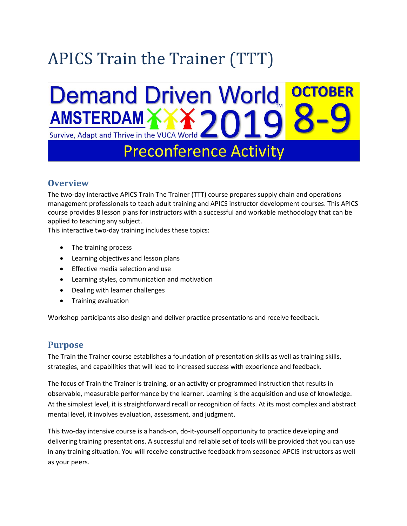# APICS Train the Trainer (TTT)

### **Demand Driven World OCTOBER AMSTERDAM** Survive, Adapt and Thrive in the VUCA World

## **Preconference Activity**

#### **Overview**

The two-day interactive APICS Train The Trainer (TTT) course prepares supply chain and operations management professionals to teach adult training and APICS instructor development courses. This APICS course provides 8 lesson plans for instructors with a successful and workable methodology that can be applied to teaching any subject.

This interactive two-day training includes these topics:

- The training process
- Learning objectives and lesson plans
- Effective media selection and use
- Learning styles, communication and motivation
- Dealing with learner challenges
- Training evaluation

Workshop participants also design and deliver practice presentations and receive feedback.

#### **Purpose**

The Train the Trainer course establishes a foundation of presentation skills as well as training skills, strategies, and capabilities that will lead to increased success with experience and feedback.

The focus of Train the Trainer is training, or an activity or programmed instruction that results in observable, measurable performance by the learner. Learning is the acquisition and use of knowledge. At the simplest level, it is straightforward recall or recognition of facts. At its most complex and abstract mental level, it involves evaluation, assessment, and judgment.

This two-day intensive course is a hands-on, do-it-yourself opportunity to practice developing and delivering training presentations. A successful and reliable set of tools will be provided that you can use in any training situation. You will receive constructive feedback from seasoned APCIS instructors as well as your peers.